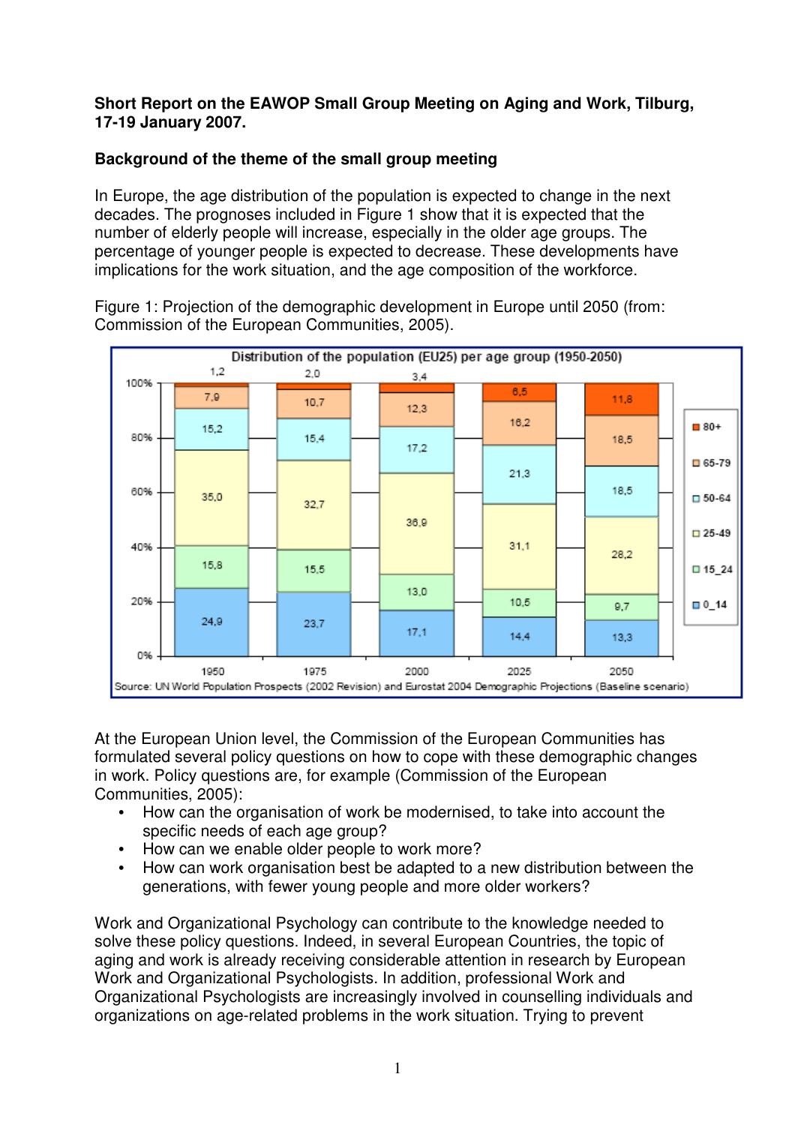#### **Short Report on the EAWOP Small Group Meeting on Aging and Work, Tilburg, 17-19 January 2007.**

### **Background of the theme of the small group meeting**

In Europe, the age distribution of the population is expected to change in the next decades. The prognoses included in Figure 1 show that it is expected that the number of elderly people will increase, especially in the older age groups. The percentage of younger people is expected to decrease. These developments have implications for the work situation, and the age composition of the workforce.

Figure 1: Projection of the demographic development in Europe until 2050 (from: Commission of the European Communities, 2005).



At the European Union level, the Commission of the European Communities has formulated several policy questions on how to cope with these demographic changes in work. Policy questions are, for example (Commission of the European Communities, 2005):

- How can the organisation of work be modernised, to take into account the specific needs of each age group?
- How can we enable older people to work more?
- How can work organisation best be adapted to a new distribution between the generations, with fewer young people and more older workers?

Work and Organizational Psychology can contribute to the knowledge needed to solve these policy questions. Indeed, in several European Countries, the topic of aging and work is already receiving considerable attention in research by European Work and Organizational Psychologists. In addition, professional Work and Organizational Psychologists are increasingly involved in counselling individuals and organizations on age-related problems in the work situation. Trying to prevent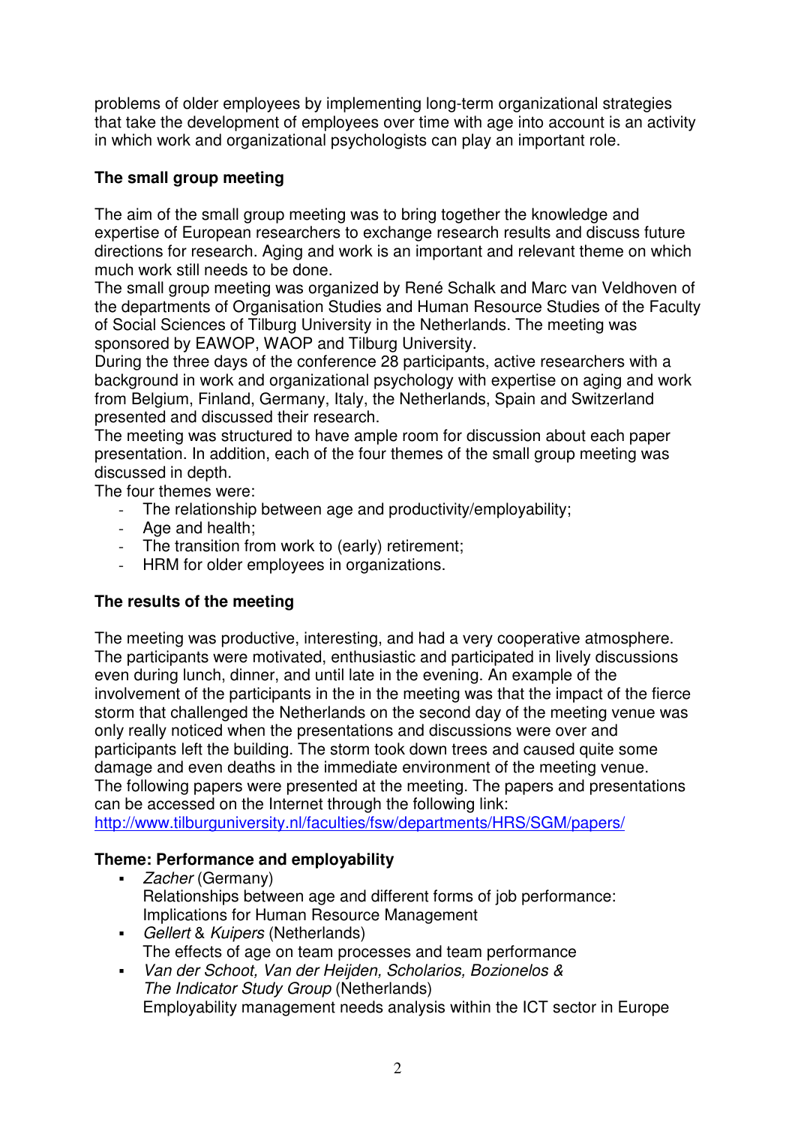problems of older employees by implementing long-term organizational strategies that take the development of employees over time with age into account is an activity in which work and organizational psychologists can play an important role.

#### **The small group meeting**

The aim of the small group meeting was to bring together the knowledge and expertise of European researchers to exchange research results and discuss future directions for research. Aging and work is an important and relevant theme on which much work still needs to be done.

The small group meeting was organized by René Schalk and Marc van Veldhoven of the departments of Organisation Studies and Human Resource Studies of the Faculty of Social Sciences of Tilburg University in the Netherlands. The meeting was sponsored by EAWOP, WAOP and Tilburg University.

During the three days of the conference 28 participants, active researchers with a background in work and organizational psychology with expertise on aging and work from Belgium, Finland, Germany, Italy, the Netherlands, Spain and Switzerland presented and discussed their research.

The meeting was structured to have ample room for discussion about each paper presentation. In addition, each of the four themes of the small group meeting was discussed in depth.

The four themes were:

- The relationship between age and productivity/employability;
- Age and health;
- The transition from work to (early) retirement;
- HRM for older employees in organizations.

### **The results of the meeting**

The meeting was productive, interesting, and had a very cooperative atmosphere. The participants were motivated, enthusiastic and participated in lively discussions even during lunch, dinner, and until late in the evening. An example of the involvement of the participants in the in the meeting was that the impact of the fierce storm that challenged the Netherlands on the second day of the meeting venue was only really noticed when the presentations and discussions were over and participants left the building. The storm took down trees and caused quite some damage and even deaths in the immediate environment of the meeting venue. The following papers were presented at the meeting. The papers and presentations can be accessed on the Internet through the following link: http://www.tilburguniversity.nl/faculties/fsw/departments/HRS/SGM/papers/

### **Theme: Performance and employability**

- Zacher (Germany) Relationships between age and different forms of job performance: Implications for Human Resource Management
- Gellert & Kuipers (Netherlands) The effects of age on team processes and team performance
- Van der Schoot, Van der Heijden, Scholarios, Bozionelos & The Indicator Study Group (Netherlands) Employability management needs analysis within the ICT sector in Europe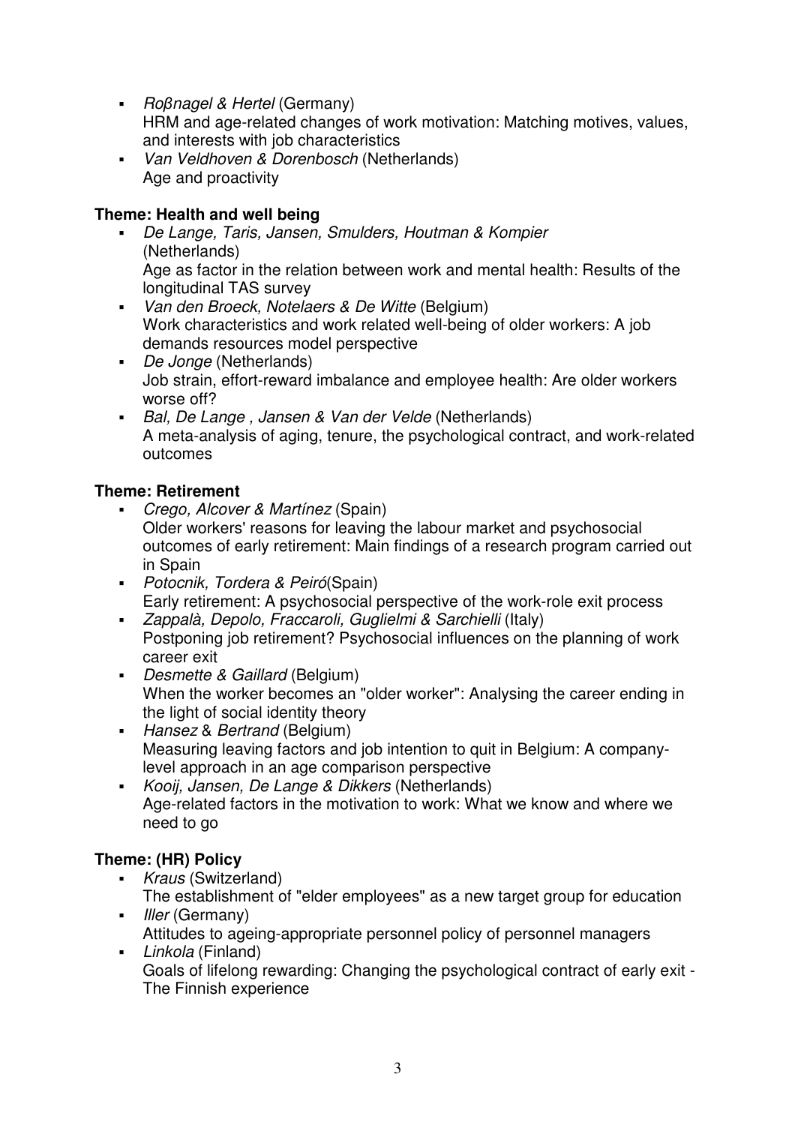- *Roβnagel & Hertel* (Germany) HRM and age-related changes of work motivation: Matching motives, values, and interests with job characteristics
- Van Veldhoven & Dorenbosch (Netherlands) Age and proactivity

## **Theme: Health and well being**

- De Lange, Taris, Jansen, Smulders, Houtman & Kompier (Netherlands) Age as factor in the relation between work and mental health: Results of the longitudinal TAS survey
- Van den Broeck, Notelaers & De Witte (Belgium) Work characteristics and work related well-being of older workers: A job demands resources model perspective
- De Jonge (Netherlands) Job strain, effort-reward imbalance and employee health: Are older workers worse off?
- Bal, De Lange, Jansen & Van der Velde (Netherlands) A meta-analysis of aging, tenure, the psychological contract, and work-related outcomes

### **Theme: Retirement**

- Crego, Alcover & Martínez (Spain) Older workers' reasons for leaving the labour market and psychosocial outcomes of early retirement: Main findings of a research program carried out in Spain
- Potocnik, Tordera & Peiró(Spain) Early retirement: A psychosocial perspective of the work-role exit process
- Zappalà, Depolo, Fraccaroli, Guglielmi & Sarchielli (Italy) Postponing job retirement? Psychosocial influences on the planning of work career exit
- Desmette & Gaillard (Belgium) When the worker becomes an "older worker": Analysing the career ending in the light of social identity theory
- Hansez & Bertrand (Belgium) Measuring leaving factors and job intention to quit in Belgium: A companylevel approach in an age comparison perspective
- Kooij, Jansen, De Lange & Dikkers (Netherlands) Age-related factors in the motivation to work: What we know and where we need to go

# **Theme: (HR) Policy**

- Kraus (Switzerland) The establishment of "elder employees" as a new target group for education
- *Iller* (Germany) Attitudes to ageing-appropriate personnel policy of personnel managers
- Linkola (Finland) Goals of lifelong rewarding: Changing the psychological contract of early exit - The Finnish experience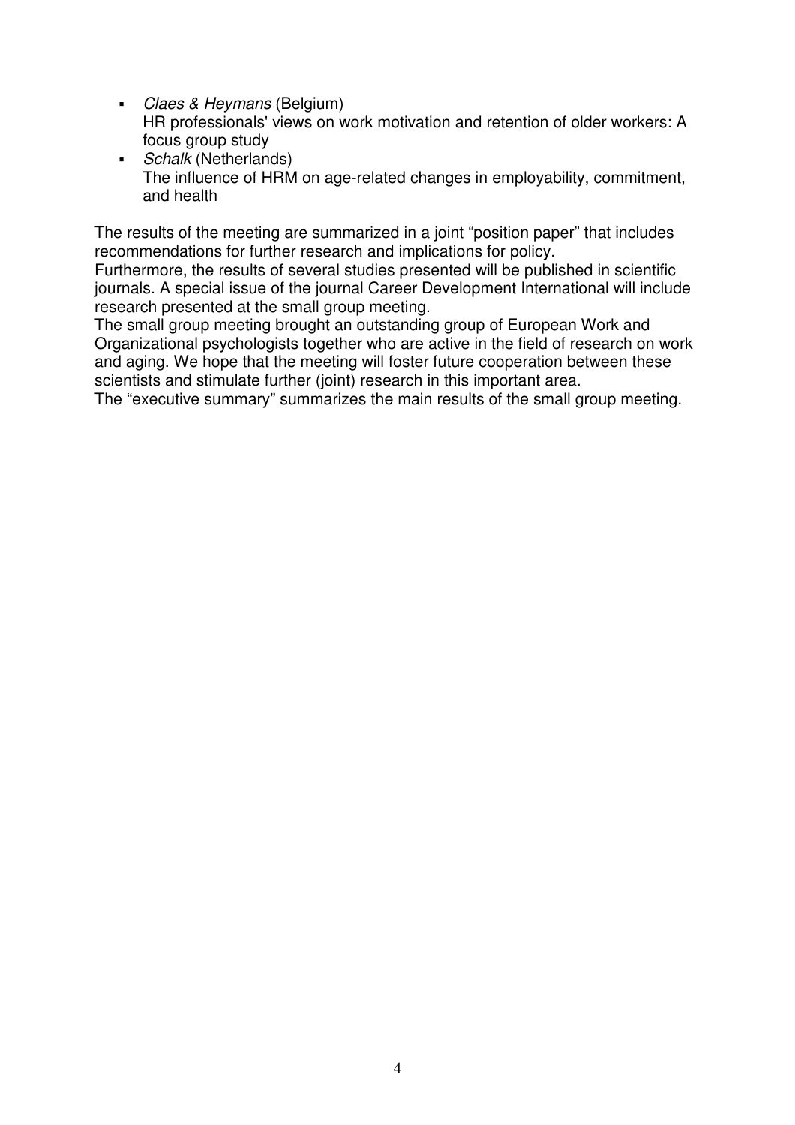- Claes & Heymans (Belgium) HR professionals' views on work motivation and retention of older workers: A focus group study
- Schalk (Netherlands) The influence of HRM on age-related changes in employability, commitment, and health

The results of the meeting are summarized in a joint "position paper" that includes recommendations for further research and implications for policy.

Furthermore, the results of several studies presented will be published in scientific journals. A special issue of the journal Career Development International will include research presented at the small group meeting.

The small group meeting brought an outstanding group of European Work and Organizational psychologists together who are active in the field of research on work and aging. We hope that the meeting will foster future cooperation between these scientists and stimulate further (joint) research in this important area.

The "executive summary" summarizes the main results of the small group meeting.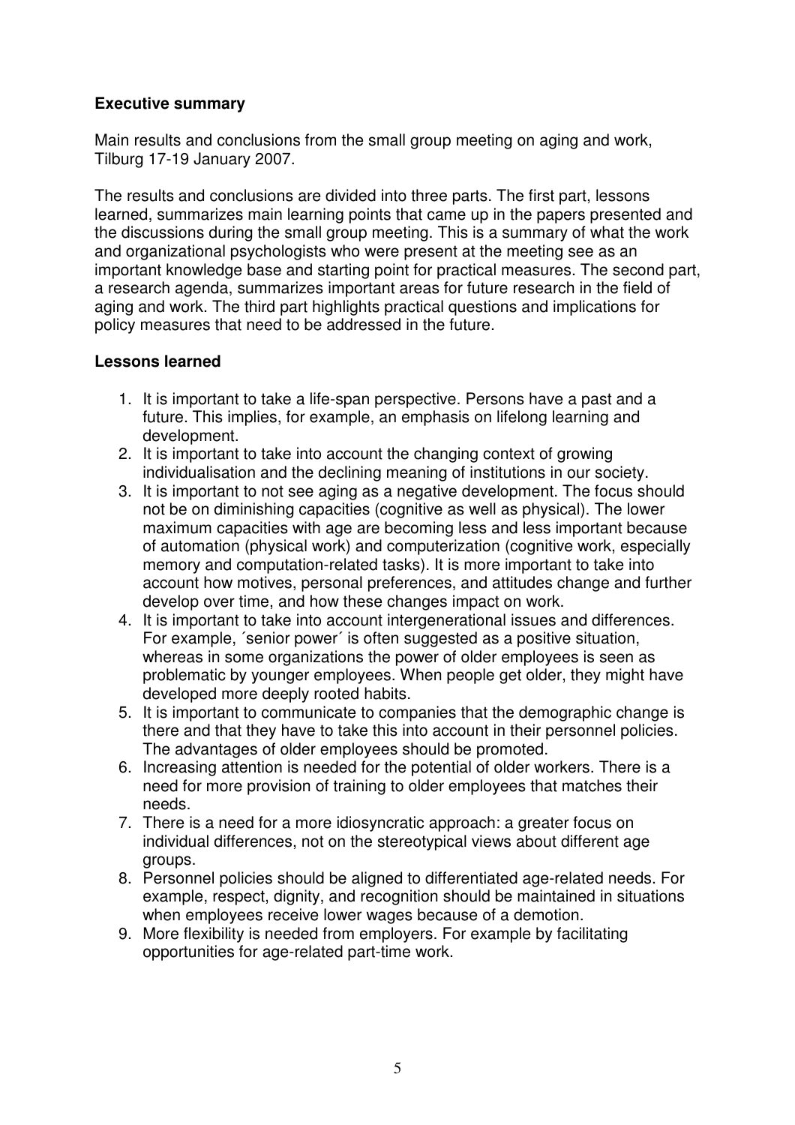#### **Executive summary**

Main results and conclusions from the small group meeting on aging and work, Tilburg 17-19 January 2007.

The results and conclusions are divided into three parts. The first part, lessons learned, summarizes main learning points that came up in the papers presented and the discussions during the small group meeting. This is a summary of what the work and organizational psychologists who were present at the meeting see as an important knowledge base and starting point for practical measures. The second part, a research agenda, summarizes important areas for future research in the field of aging and work. The third part highlights practical questions and implications for policy measures that need to be addressed in the future.

#### **Lessons learned**

- 1. It is important to take a life-span perspective. Persons have a past and a future. This implies, for example, an emphasis on lifelong learning and development.
- 2. It is important to take into account the changing context of growing individualisation and the declining meaning of institutions in our society.
- 3. It is important to not see aging as a negative development. The focus should not be on diminishing capacities (cognitive as well as physical). The lower maximum capacities with age are becoming less and less important because of automation (physical work) and computerization (cognitive work, especially memory and computation-related tasks). It is more important to take into account how motives, personal preferences, and attitudes change and further develop over time, and how these changes impact on work.
- 4. It is important to take into account intergenerational issues and differences. For example, ´senior power´ is often suggested as a positive situation, whereas in some organizations the power of older employees is seen as problematic by younger employees. When people get older, they might have developed more deeply rooted habits.
- 5. It is important to communicate to companies that the demographic change is there and that they have to take this into account in their personnel policies. The advantages of older employees should be promoted.
- 6. Increasing attention is needed for the potential of older workers. There is a need for more provision of training to older employees that matches their needs.
- 7. There is a need for a more idiosyncratic approach: a greater focus on individual differences, not on the stereotypical views about different age groups.
- 8. Personnel policies should be aligned to differentiated age-related needs. For example, respect, dignity, and recognition should be maintained in situations when employees receive lower wages because of a demotion.
- 9. More flexibility is needed from employers. For example by facilitating opportunities for age-related part-time work.